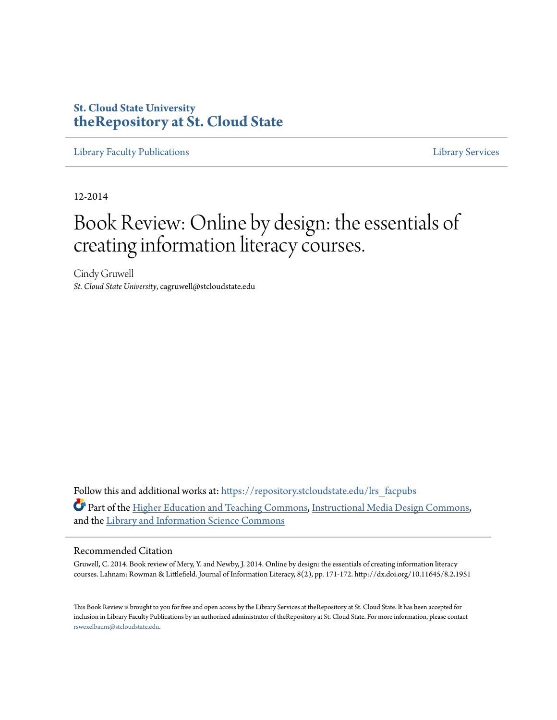### **St. Cloud State University [theRepository at St. Cloud State](https://repository.stcloudstate.edu?utm_source=repository.stcloudstate.edu%2Flrs_facpubs%2F51&utm_medium=PDF&utm_campaign=PDFCoverPages)**

[Library Faculty Publications](https://repository.stcloudstate.edu/lrs_facpubs?utm_source=repository.stcloudstate.edu%2Flrs_facpubs%2F51&utm_medium=PDF&utm_campaign=PDFCoverPages) [Library Services](https://repository.stcloudstate.edu/ls?utm_source=repository.stcloudstate.edu%2Flrs_facpubs%2F51&utm_medium=PDF&utm_campaign=PDFCoverPages)

12-2014

# Book Review: Online by design: the essentials of creating information literacy courses.

Cindy Gruwell *St. Cloud State University*, cagruwell@stcloudstate.edu

Follow this and additional works at: [https://repository.stcloudstate.edu/lrs\\_facpubs](https://repository.stcloudstate.edu/lrs_facpubs?utm_source=repository.stcloudstate.edu%2Flrs_facpubs%2F51&utm_medium=PDF&utm_campaign=PDFCoverPages) Part of the [Higher Education and Teaching Commons](http://network.bepress.com/hgg/discipline/806?utm_source=repository.stcloudstate.edu%2Flrs_facpubs%2F51&utm_medium=PDF&utm_campaign=PDFCoverPages), [Instructional Media Design Commons,](http://network.bepress.com/hgg/discipline/795?utm_source=repository.stcloudstate.edu%2Flrs_facpubs%2F51&utm_medium=PDF&utm_campaign=PDFCoverPages) and the [Library and Information Science Commons](http://network.bepress.com/hgg/discipline/1018?utm_source=repository.stcloudstate.edu%2Flrs_facpubs%2F51&utm_medium=PDF&utm_campaign=PDFCoverPages)

#### Recommended Citation

Gruwell, C. 2014. Book review of Mery, Y. and Newby, J. 2014. Online by design: the essentials of creating information literacy courses. Lahnam: Rowman & Littlefield. Journal of Information Literacy, 8(2), pp. 171-172. http://dx.doi.org/10.11645/8.2.1951

This Book Review is brought to you for free and open access by the Library Services at theRepository at St. Cloud State. It has been accepted for inclusion in Library Faculty Publications by an authorized administrator of theRepository at St. Cloud State. For more information, please contact [rswexelbaum@stcloudstate.edu](mailto:rswexelbaum@stcloudstate.edu).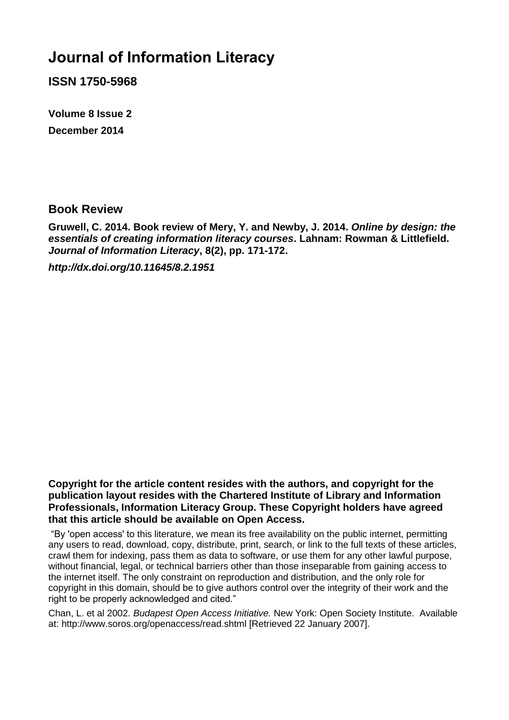## **Journal of Information Literacy**

**ISSN 1750-5968**

**Volume 8 Issue 2 December 2014**

### **Book Review**

**Gruwell, C. 2014. Book review of Mery, Y. and Newby, J. 2014.** *Online by design: the essentials of creating information literacy courses***. Lahnam: Rowman & Littlefield.**  *Journal of Information Literacy***, 8(2), pp. 171-172.**

*http://dx.doi.org/10.11645/8.2.1951*

**Copyright for the article content resides with the authors, and copyright for the publication layout resides with the Chartered Institute of Library and Information Professionals, Information Literacy Group. These Copyright holders have agreed that this article should be available on Open Access.**

"By 'open access' to this literature, we mean its free availability on the public internet, permitting any users to read, download, copy, distribute, print, search, or link to the full texts of these articles, crawl them for indexing, pass them as data to software, or use them for any other lawful purpose, without financial, legal, or technical barriers other than those inseparable from gaining access to the internet itself. The only constraint on reproduction and distribution, and the only role for copyright in this domain, should be to give authors control over the integrity of their work and the right to be properly acknowledged and cited."

Chan, L. et al 2002. *Budapest Open Access Initiative.* New York: Open Society Institute. Available at: http://www.soros.org/openaccess/read.shtml [Retrieved 22 January 2007].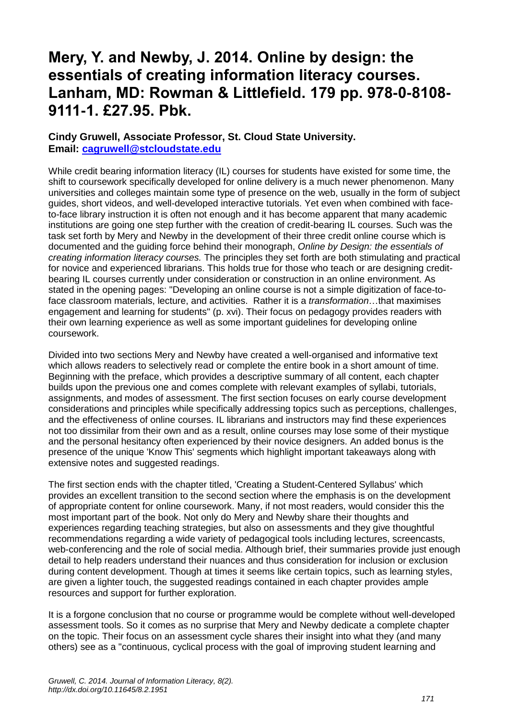### **Mery, Y. and Newby, J. 2014. Online by design: the essentials of creating information literacy courses. Lanham, MD: Rowman & Littlefield. 179 pp. 978-0-8108- 9111-1. £27.95. Pbk.**

#### **Cindy Gruwell, Associate Professor, St. Cloud State University. Email: [cagruwell@stcloudstate.edu](mailto:cagruwell@stcloudstate.edu)**

While credit bearing information literacy (IL) courses for students have existed for some time, the shift to coursework specifically developed for online delivery is a much newer phenomenon. Many universities and colleges maintain some type of presence on the web, usually in the form of subject guides, short videos, and well-developed interactive tutorials. Yet even when combined with faceto-face library instruction it is often not enough and it has become apparent that many academic institutions are going one step further with the creation of credit-bearing IL courses. Such was the task set forth by Mery and Newby in the development of their three credit online course which is documented and the guiding force behind their monograph, *Online by Design: the essentials of creating information literacy courses.* The principles they set forth are both stimulating and practical for novice and experienced librarians. This holds true for those who teach or are designing creditbearing IL courses currently under consideration or construction in an online environment. As stated in the opening pages: "Developing an online course is not a simple digitization of face-toface classroom materials, lecture, and activities. Rather it is a *transformation*…that maximises engagement and learning for students" (p. xvi). Their focus on pedagogy provides readers with their own learning experience as well as some important guidelines for developing online coursework.

Divided into two sections Mery and Newby have created a well-organised and informative text which allows readers to selectively read or complete the entire book in a short amount of time. Beginning with the preface, which provides a descriptive summary of all content, each chapter builds upon the previous one and comes complete with relevant examples of syllabi, tutorials, assignments, and modes of assessment. The first section focuses on early course development considerations and principles while specifically addressing topics such as perceptions, challenges, and the effectiveness of online courses. IL librarians and instructors may find these experiences not too dissimilar from their own and as a result, online courses may lose some of their mystique and the personal hesitancy often experienced by their novice designers. An added bonus is the presence of the unique 'Know This' segments which highlight important takeaways along with extensive notes and suggested readings.

The first section ends with the chapter titled, 'Creating a Student-Centered Syllabus' which provides an excellent transition to the second section where the emphasis is on the development of appropriate content for online coursework. Many, if not most readers, would consider this the most important part of the book. Not only do Mery and Newby share their thoughts and experiences regarding teaching strategies, but also on assessments and they give thoughtful recommendations regarding a wide variety of pedagogical tools including lectures, screencasts, web-conferencing and the role of social media. Although brief, their summaries provide just enough detail to help readers understand their nuances and thus consideration for inclusion or exclusion during content development. Though at times it seems like certain topics, such as learning styles, are given a lighter touch, the suggested readings contained in each chapter provides ample resources and support for further exploration.

It is a forgone conclusion that no course or programme would be complete without well-developed assessment tools. So it comes as no surprise that Mery and Newby dedicate a complete chapter on the topic. Their focus on an assessment cycle shares their insight into what they (and many others) see as a "continuous, cyclical process with the goal of improving student learning and